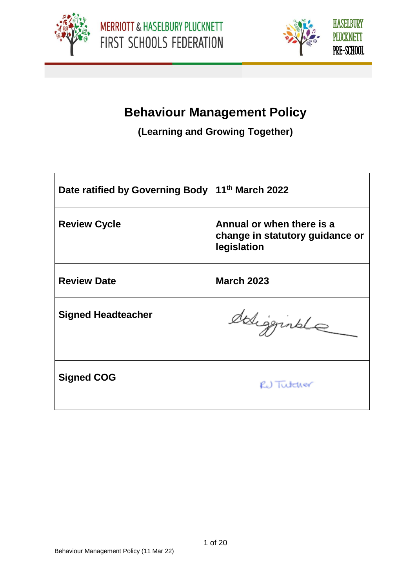



# **Behaviour Management Policy**

**(Learning and Growing Together)**

| Date ratified by Governing Body | 11 <sup>th</sup> March 2022                                                 |
|---------------------------------|-----------------------------------------------------------------------------|
| <b>Review Cycle</b>             | Annual or when there is a<br>change in statutory guidance or<br>legislation |
| <b>Review Date</b>              | <b>March 2023</b>                                                           |
| <b>Signed Headteacher</b>       | deligginale                                                                 |
| <b>Signed COG</b>               | RU Tutcher                                                                  |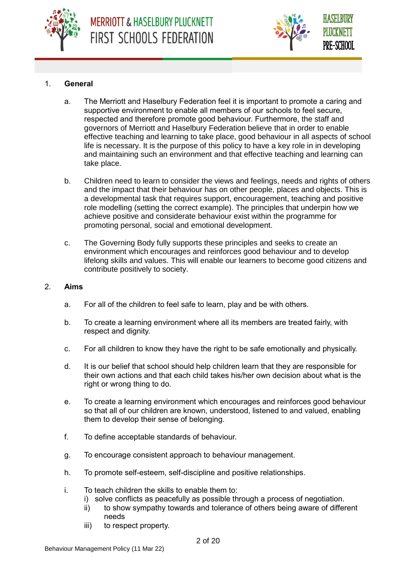



## 1. **General**

- a. The Merriott and Haselbury Federation feel it is important to promote a caring and supportive environment to enable all members of our schools to feel secure, respected and therefore promote good behaviour. Furthermore, the staff and governors of Merriott and Haselbury Federation believe that in order to enable effective teaching and learning to take place, good behaviour in all aspects of school life is necessary. It is the purpose of this policy to have a key role in in developing and maintaining such an environment and that effective teaching and learning can take place.
- b. Children need to learn to consider the views and feelings, needs and rights of others and the impact that their behaviour has on other people, places and objects. This is a developmental task that requires support, encouragement, teaching and positive role modelling (setting the correct example). The principles that underpin how we achieve positive and considerate behaviour exist within the programme for promoting personal, social and emotional development.
- c. The Governing Body fully supports these principles and seeks to create an environment which encourages and reinforces good behaviour and to develop lifelong skills and values. This will enable our learners to become good citizens and contribute positively to society.

#### 2. **Aims**

- a. For all of the children to feel safe to learn, play and be with others.
- b. To create a learning environment where all its members are treated fairly, with respect and dignity.
- c. For all children to know they have the right to be safe emotionally and physically.
- d. It is our belief that school should help children learn that they are responsible for their own actions and that each child takes his/her own decision about what is the right or wrong thing to do.
- e. To create a learning environment which encourages and reinforces good behaviour so that all of our children are known, understood, listened to and valued, enabling them to develop their sense of belonging.
- f. To define acceptable standards of behaviour.
- g. To encourage consistent approach to behaviour management.
- h. To promote self-esteem, self-discipline and positive relationships.
- i. To teach children the skills to enable them to:
	- i) solve conflicts as peacefully as possible through a process of negotiation.
	- ii) to show sympathy towards and tolerance of others being aware of different needs
	- iii) to respect property.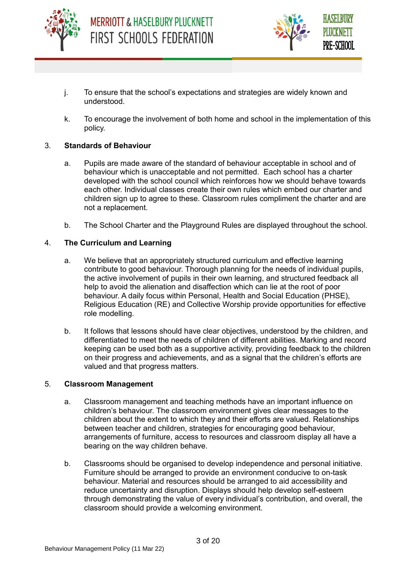



- j. To ensure that the school's expectations and strategies are widely known and understood.
- k. To encourage the involvement of both home and school in the implementation of this policy.

#### 3. **Standards of Behaviour**

- a. Pupils are made aware of the standard of behaviour acceptable in school and of behaviour which is unacceptable and not permitted. Each school has a charter developed with the school council which reinforces how we should behave towards each other. Individual classes create their own rules which embed our charter and children sign up to agree to these. Classroom rules compliment the charter and are not a replacement.
- b. The School Charter and the Playground Rules are displayed throughout the school.

#### 4. **The Curriculum and Learning**

- a. We believe that an appropriately structured curriculum and effective learning contribute to good behaviour. Thorough planning for the needs of individual pupils, the active involvement of pupils in their own learning, and structured feedback all help to avoid the alienation and disaffection which can lie at the root of poor behaviour. A daily focus within Personal, Health and Social Education (PHSE), Religious Education (RE) and Collective Worship provide opportunities for effective role modelling.
- b. It follows that lessons should have clear objectives, understood by the children, and differentiated to meet the needs of children of different abilities. Marking and record keeping can be used both as a supportive activity, providing feedback to the children on their progress and achievements, and as a signal that the children's efforts are valued and that progress matters.

#### 5. **Classroom Management**

- a. Classroom management and teaching methods have an important influence on children's behaviour. The classroom environment gives clear messages to the children about the extent to which they and their efforts are valued. Relationships between teacher and children, strategies for encouraging good behaviour, arrangements of furniture, access to resources and classroom display all have a bearing on the way children behave.
- b. Classrooms should be organised to develop independence and personal initiative. Furniture should be arranged to provide an environment conducive to on-task behaviour. Material and resources should be arranged to aid accessibility and reduce uncertainty and disruption. Displays should help develop self-esteem through demonstrating the value of every individual's contribution, and overall, the classroom should provide a welcoming environment.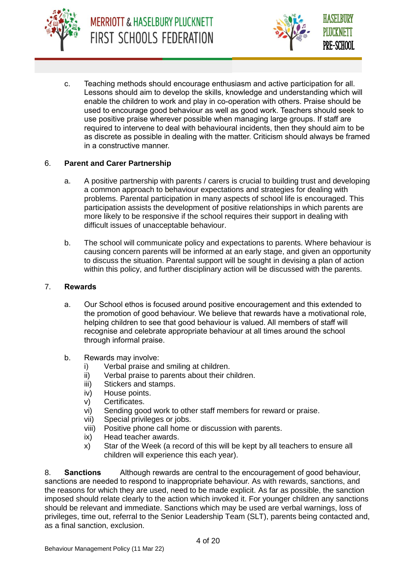



c. Teaching methods should encourage enthusiasm and active participation for all. Lessons should aim to develop the skills, knowledge and understanding which will enable the children to work and play in co-operation with others. Praise should be used to encourage good behaviour as well as good work. Teachers should seek to use positive praise wherever possible when managing large groups. If staff are required to intervene to deal with behavioural incidents, then they should aim to be as discrete as possible in dealing with the matter. Criticism should always be framed in a constructive manner.

## 6. **Parent and Carer Partnership**

- a. A positive partnership with parents / carers is crucial to building trust and developing a common approach to behaviour expectations and strategies for dealing with problems. Parental participation in many aspects of school life is encouraged. This participation assists the development of positive relationships in which parents are more likely to be responsive if the school requires their support in dealing with difficult issues of unacceptable behaviour.
- b. The school will communicate policy and expectations to parents. Where behaviour is causing concern parents will be informed at an early stage, and given an opportunity to discuss the situation. Parental support will be sought in devising a plan of action within this policy, and further disciplinary action will be discussed with the parents.

#### 7. **Rewards**

- a. Our School ethos is focused around positive encouragement and this extended to the promotion of good behaviour. We believe that rewards have a motivational role, helping children to see that good behaviour is valued. All members of staff will recognise and celebrate appropriate behaviour at all times around the school through informal praise.
- b. Rewards may involve:
	- i) Verbal praise and smiling at children.
	- ii) Verbal praise to parents about their children.
	- iii) Stickers and stamps.
	- iv) House points.
	- v) Certificates.
	- vi) Sending good work to other staff members for reward or praise.
	- vii) Special privileges or jobs.
	- viii) Positive phone call home or discussion with parents.
	- ix) Head teacher awards.
	- x) Star of the Week (a record of this will be kept by all teachers to ensure all children will experience this each year).

8. **Sanctions** Although rewards are central to the encouragement of good behaviour, sanctions are needed to respond to inappropriate behaviour. As with rewards, sanctions, and the reasons for which they are used, need to be made explicit. As far as possible, the sanction imposed should relate clearly to the action which invoked it. For younger children any sanctions should be relevant and immediate. Sanctions which may be used are verbal warnings, loss of privileges, time out, referral to the Senior Leadership Team (SLT), parents being contacted and, as a final sanction, exclusion.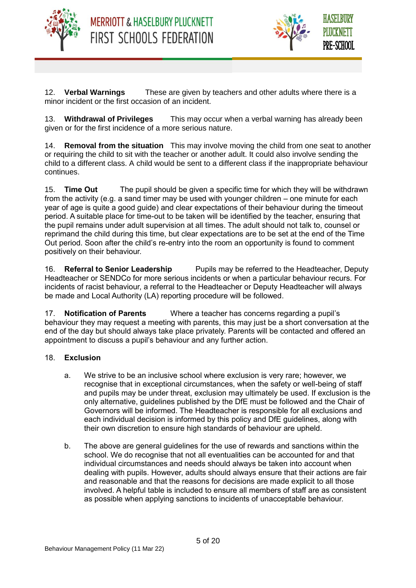



12. **Verbal Warnings** These are given by teachers and other adults where there is a minor incident or the first occasion of an incident.

13. **Withdrawal of Privileges** This may occur when a verbal warning has already been given or for the first incidence of a more serious nature.

14. **Removal from the situation** This may involve moving the child from one seat to another or requiring the child to sit with the teacher or another adult. It could also involve sending the child to a different class. A child would be sent to a different class if the inappropriate behaviour continues.

15. **Time Out** The pupil should be given a specific time for which they will be withdrawn from the activity (e.g. a sand timer may be used with younger children – one minute for each year of age is quite a good guide) and clear expectations of their behaviour during the timeout period. A suitable place for time-out to be taken will be identified by the teacher, ensuring that the pupil remains under adult supervision at all times. The adult should not talk to, counsel or reprimand the child during this time, but clear expectations are to be set at the end of the Time Out period. Soon after the child's re-entry into the room an opportunity is found to comment positively on their behaviour.

16. **Referral to Senior Leadership** Pupils may be referred to the Headteacher, Deputy Headteacher or SENDCo for more serious incidents or when a particular behaviour recurs. For incidents of racist behaviour, a referral to the Headteacher or Deputy Headteacher will always be made and Local Authority (LA) reporting procedure will be followed.

17. **Notification of Parents** Where a teacher has concerns regarding a pupil's behaviour they may request a meeting with parents, this may just be a short conversation at the end of the day but should always take place privately. Parents will be contacted and offered an appointment to discuss a pupil's behaviour and any further action.

## 18. **Exclusion**

- a. We strive to be an inclusive school where exclusion is very rare; however, we recognise that in exceptional circumstances, when the safety or well-being of staff and pupils may be under threat, exclusion may ultimately be used. If exclusion is the only alternative, guidelines published by the DfE must be followed and the Chair of Governors will be informed. The Headteacher is responsible for all exclusions and each individual decision is informed by this policy and DfE guidelines, along with their own discretion to ensure high standards of behaviour are upheld.
- b. The above are general guidelines for the use of rewards and sanctions within the school. We do recognise that not all eventualities can be accounted for and that individual circumstances and needs should always be taken into account when dealing with pupils. However, adults should always ensure that their actions are fair and reasonable and that the reasons for decisions are made explicit to all those involved. A helpful table is included to ensure all members of staff are as consistent as possible when applying sanctions to incidents of unacceptable behaviour.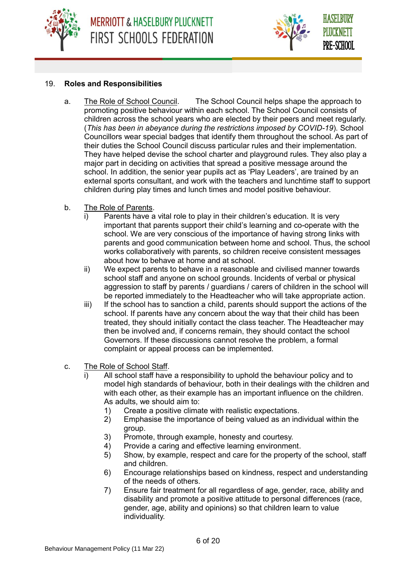



#### 19. **Roles and Responsibilities**

- a. The Role of School Council. The School Council helps shape the approach to promoting positive behaviour within each school. The School Council consists of children across the school years who are elected by their peers and meet regularly. (*This has been in abeyance during the restrictions imposed by COVID-19*). School Councillors wear special badges that identify them throughout the school. As part of their duties the School Council discuss particular rules and their implementation. They have helped devise the school charter and playground rules. They also play a major part in deciding on activities that spread a positive message around the school. In addition, the senior year pupils act as 'Play Leaders', are trained by an external sports consultant, and work with the teachers and lunchtime staff to support children during play times and lunch times and model positive behaviour.
- b. The Role of Parents.
	- Parents have a vital role to play in their children's education. It is very important that parents support their child's learning and co-operate with the school. We are very conscious of the importance of having strong links with parents and good communication between home and school. Thus, the school works collaboratively with parents, so children receive consistent messages about how to behave at home and at school.
	- ii) We expect parents to behave in a reasonable and civilised manner towards school staff and anyone on school grounds. Incidents of verbal or physical aggression to staff by parents / guardians / carers of children in the school will be reported immediately to the Headteacher who will take appropriate action.
	- iii) If the school has to sanction a child, parents should support the actions of the school. If parents have any concern about the way that their child has been treated, they should initially contact the class teacher. The Headteacher may then be involved and, if concerns remain, they should contact the school Governors. If these discussions cannot resolve the problem, a formal complaint or appeal process can be implemented.
- c. The Role of School Staff.
	- i) All school staff have a responsibility to uphold the behaviour policy and to model high standards of behaviour, both in their dealings with the children and with each other, as their example has an important influence on the children. As adults, we should aim to:
		- 1) Create a positive climate with realistic expectations.<br>2) Emphasise the importance of being valued as an ing
		- 2) Emphasise the importance of being valued as an individual within the group.
		- 3) Promote, through example, honesty and courtesy.
		- 4) Provide a caring and effective learning environment.
		- 5) Show, by example, respect and care for the property of the school, staff and children.
		- 6) Encourage relationships based on kindness, respect and understanding of the needs of others.
		- 7) Ensure fair treatment for all regardless of age, gender, race, ability and disability and promote a positive attitude to personal differences (race, gender, age, ability and opinions) so that children learn to value individuality.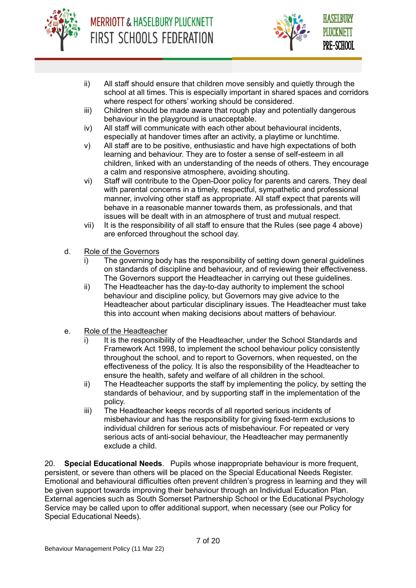



- ii) All staff should ensure that children move sensibly and quietly through the school at all times. This is especially important in shared spaces and corridors where respect for others' working should be considered.
- iii) Children should be made aware that rough play and potentially dangerous behaviour in the playground is unacceptable.
- iv) All staff will communicate with each other about behavioural incidents, especially at handover times after an activity, a playtime or lunchtime.
- v) All staff are to be positive, enthusiastic and have high expectations of both learning and behaviour. They are to foster a sense of self-esteem in all children, linked with an understanding of the needs of others. They encourage a calm and responsive atmosphere, avoiding shouting.
- vi) Staff will contribute to the Open-Door policy for parents and carers. They deal with parental concerns in a timely, respectful, sympathetic and professional manner, involving other staff as appropriate. All staff expect that parents will behave in a reasonable manner towards them, as professionals, and that issues will be dealt with in an atmosphere of trust and mutual respect.
- vii) It is the responsibility of all staff to ensure that the Rules (see page 4 above) are enforced throughout the school day.
- d. Role of the Governors
	- i) The governing body has the responsibility of setting down general guidelines on standards of discipline and behaviour, and of reviewing their effectiveness. The Governors support the Headteacher in carrying out these guidelines.
	- ii) The Headteacher has the day-to-day authority to implement the school behaviour and discipline policy, but Governors may give advice to the Headteacher about particular disciplinary issues. The Headteacher must take this into account when making decisions about matters of behaviour.
- e. Role of the Headteacher
	- i) It is the responsibility of the Headteacher, under the School Standards and Framework Act 1998, to implement the school behaviour policy consistently throughout the school, and to report to Governors, when requested, on the effectiveness of the policy. It is also the responsibility of the Headteacher to ensure the health, safety and welfare of all children in the school.
	- ii) The Headteacher supports the staff by implementing the policy, by setting the standards of behaviour, and by supporting staff in the implementation of the policy.
	- iii) The Headteacher keeps records of all reported serious incidents of misbehaviour and has the responsibility for giving fixed-term exclusions to individual children for serious acts of misbehaviour. For repeated or very serious acts of anti-social behaviour, the Headteacher may permanently exclude a child.

20. **Special Educational Needs**. Pupils whose inappropriate behaviour is more frequent, persistent, or severe than others will be placed on the Special Educational Needs Register. Emotional and behavioural difficulties often prevent children's progress in learning and they will be given support towards improving their behaviour through an Individual Education Plan. External agencies such as South Somerset Partnership School or the Educational Psychology Service may be called upon to offer additional support, when necessary (see our Policy for Special Educational Needs).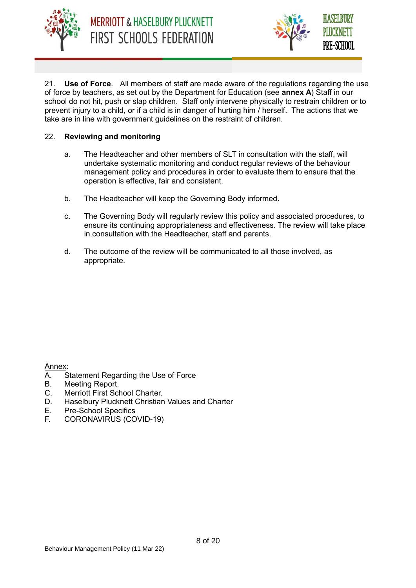



21. **Use of Force**. All members of staff are made aware of the regulations regarding the use of force by teachers, as set out by the Department for Education (see **annex A**) Staff in our school do not hit, push or slap children. Staff only intervene physically to restrain children or to prevent injury to a child, or if a child is in danger of hurting him / herself. The actions that we take are in line with government guidelines on the restraint of children.

## 22. **Reviewing and monitoring**

- a. The Headteacher and other members of SLT in consultation with the staff, will undertake systematic monitoring and conduct regular reviews of the behaviour management policy and procedures in order to evaluate them to ensure that the operation is effective, fair and consistent.
- b. The Headteacher will keep the Governing Body informed.
- c. The Governing Body will regularly review this policy and associated procedures, to ensure its continuing appropriateness and effectiveness. The review will take place in consultation with the Headteacher, staff and parents.
- d. The outcome of the review will be communicated to all those involved, as appropriate.

Annex:

- A. Statement Regarding the Use of Force
- B. Meeting Report.
- C. Merriott First School Charter.
- D. Haselbury Plucknett Christian Values and Charter
- E. Pre-School Specifics
- F. CORONAVIRUS (COVID-19)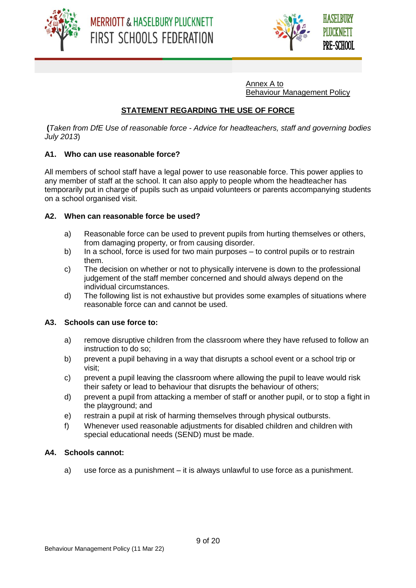



Annex A to Behaviour Management Policy

## **STATEMENT REGARDING THE USE OF FORCE**

**(***Taken from DfE Use of reasonable force - Advice for headteachers, staff and governing bodies July 2013*)

#### **A1. Who can use reasonable force?**

All members of school staff have a legal power to use reasonable force. This power applies to any member of staff at the school. It can also apply to people whom the headteacher has temporarily put in charge of pupils such as unpaid volunteers or parents accompanying students on a school organised visit.

#### **A2. When can reasonable force be used?**

- a) Reasonable force can be used to prevent pupils from hurting themselves or others, from damaging property, or from causing disorder.
- b) In a school, force is used for two main purposes to control pupils or to restrain them.
- c) The decision on whether or not to physically intervene is down to the professional judgement of the staff member concerned and should always depend on the individual circumstances.
- d) The following list is not exhaustive but provides some examples of situations where reasonable force can and cannot be used.

#### **A3. Schools can use force to:**

- a) remove disruptive children from the classroom where they have refused to follow an instruction to do so;
- b) prevent a pupil behaving in a way that disrupts a school event or a school trip or visit;
- c) prevent a pupil leaving the classroom where allowing the pupil to leave would risk their safety or lead to behaviour that disrupts the behaviour of others;
- d) prevent a pupil from attacking a member of staff or another pupil, or to stop a fight in the playground; and
- e) restrain a pupil at risk of harming themselves through physical outbursts.
- f) Whenever used reasonable adjustments for disabled children and children with special educational needs (SEND) must be made.

#### **A4. Schools cannot:**

a) use force as a punishment – it is always unlawful to use force as a punishment.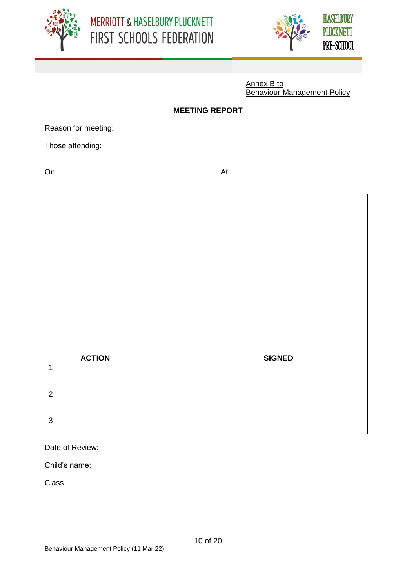



Annex B to Behaviour Management Policy

## **MEETING REPORT**

Reason for meeting:

Those attending:

On: At:

|                         | <b>ACTION</b> | <b>SIGNED</b> |
|-------------------------|---------------|---------------|
| $\overline{\mathbf{1}}$ |               |               |
|                         |               |               |
|                         |               |               |
| $\overline{2}$          |               |               |
|                         |               |               |
| $\mathbf{3}$            |               |               |
|                         |               |               |

Date of Review:

Child's name:

Class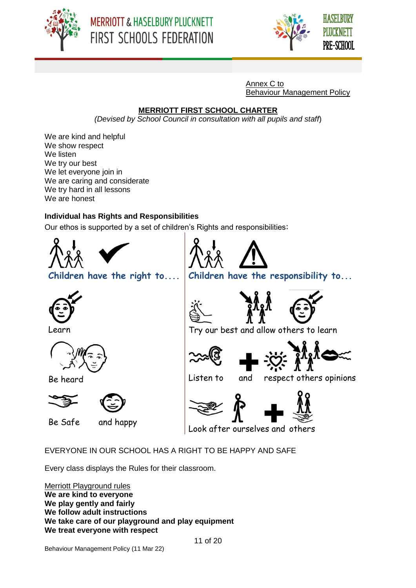





Annex C to Behaviour Management Policy

## **MERRIOTT FIRST SCHOOL CHARTER**

*(Devised by School Council in consultation with all pupils and staff*)

We are kind and helpful We show respect We listen We try our best We let everyone join in We are caring and considerate We try hard in all lessons We are honest

# **Individual has Rights and Responsibilities**

Our ethos is supported by a set of children's Rights and responsibilities:



EVERYONE IN OUR SCHOOL HAS A RIGHT TO BE HAPPY AND SAFE

Every class displays the Rules for their classroom.

Merriott Playground rules **We are kind to everyone We play gently and fairly We follow adult instructions We take care of our playground and play equipment We treat everyone with respect**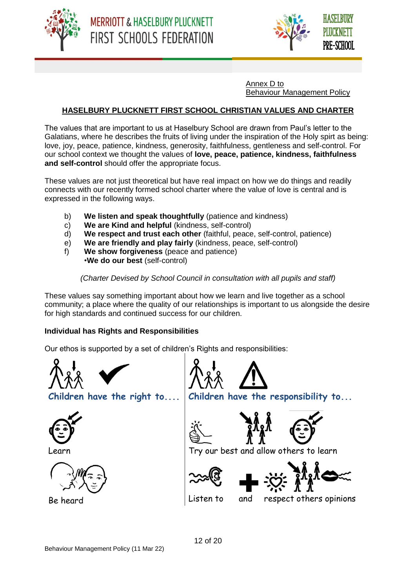



Annex D to Behaviour Management Policy

## **HASELBURY PLUCKNETT FIRST SCHOOL CHRISTIAN VALUES AND CHARTER**

The values that are important to us at Haselbury School are drawn from Paul's letter to the Galatians, where he describes the fruits of living under the inspiration of the Holy spirt as being: love, joy, peace, patience, kindness, generosity, faithfulness, gentleness and self-control. For our school context we thought the values of **love, peace, patience, kindness, faithfulness and self-control** should offer the appropriate focus.

These values are not just theoretical but have real impact on how we do things and readily connects with our recently formed school charter where the value of love is central and is expressed in the following ways.

- b) **We listen and speak thoughtfully** (patience and kindness)
- c) **We are Kind and helpful** (kindness, self-control)
- d) **We respect and trust each other** (faithful, peace, self-control, patience)
- e) **We are friendly and play fairly** (kindness, peace, self-control)
- f) **We show forgiveness** (peace and patience) •**We do our best** (self-control)

*(Charter Devised by School Council in consultation with all pupils and staff)*

These values say something important about how we learn and live together as a school community; a place where the quality of our relationships is important to us alongside the desire for high standards and continued success for our children.

## **Individual has Rights and Responsibilities**

Our ethos is supported by a set of children's Rights and responsibilities:









**Children have the right to.... Children have the responsibility to...**











Learn Try our best and allow others to learn



Be heard **Listen to** and respect others opinions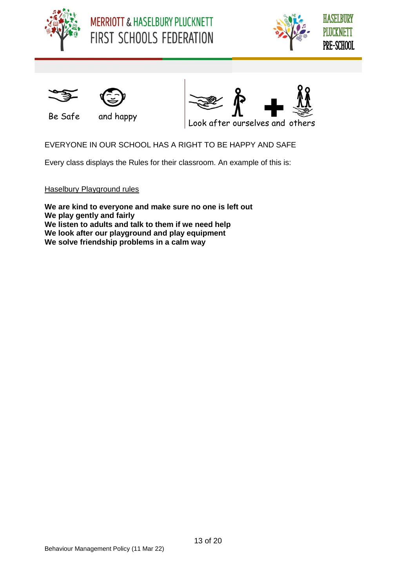





$$
\bigvee^{\bullet}
$$



Be Safe and happy



Look after ourselves and others

EVERYONE IN OUR SCHOOL HAS A RIGHT TO BE HAPPY AND SAFE

Every class displays the Rules for their classroom. An example of this is:

Haselbury Playground rules

**We are kind to everyone and make sure no one is left out We play gently and fairly We listen to adults and talk to them if we need help We look after our playground and play equipment We solve friendship problems in a calm way**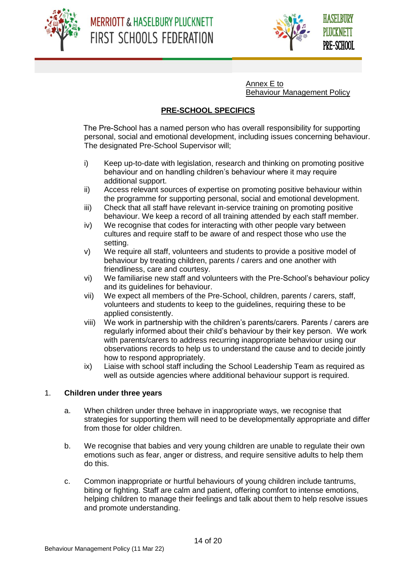



Annex E to Behaviour Management Policy

## **PRE-SCHOOL SPECIFICS**

 The Pre-School has a named person who has overall responsibility for supporting personal, social and emotional development, including issues concerning behaviour. The designated Pre-School Supervisor will;

- i) Keep up-to-date with legislation, research and thinking on promoting positive behaviour and on handling children's behaviour where it may require additional support.
- ii) Access relevant sources of expertise on promoting positive behaviour within the programme for supporting personal, social and emotional development.
- iii) Check that all staff have relevant in-service training on promoting positive behaviour. We keep a record of all training attended by each staff member.
- iv) We recognise that codes for interacting with other people vary between cultures and require staff to be aware of and respect those who use the setting.
- v) We require all staff, volunteers and students to provide a positive model of behaviour by treating children, parents / carers and one another with friendliness, care and courtesy.
- vi) We familiarise new staff and volunteers with the Pre-School's behaviour policy and its guidelines for behaviour.
- vii) We expect all members of the Pre-School, children, parents / carers, staff, volunteers and students to keep to the guidelines, requiring these to be applied consistently.
- viii) We work in partnership with the children's parents/carers. Parents / carers are regularly informed about their child's behaviour by their key person. We work with parents/carers to address recurring inappropriate behaviour using our observations records to help us to understand the cause and to decide jointly how to respond appropriately.
- ix) Liaise with school staff including the School Leadership Team as required as well as outside agencies where additional behaviour support is required.

## 1. **Children under three years**

- a. When children under three behave in inappropriate ways, we recognise that strategies for supporting them will need to be developmentally appropriate and differ from those for older children.
- b. We recognise that babies and very young children are unable to regulate their own emotions such as fear, anger or distress, and require sensitive adults to help them do this.
- c. Common inappropriate or hurtful behaviours of young children include tantrums, biting or fighting. Staff are calm and patient, offering comfort to intense emotions, helping children to manage their feelings and talk about them to help resolve issues and promote understanding.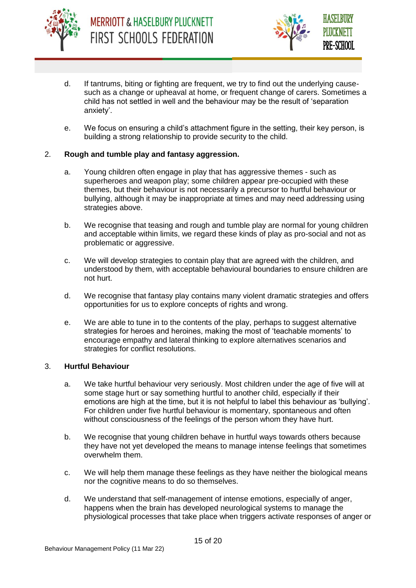



- d. If tantrums, biting or fighting are frequent, we try to find out the underlying causesuch as a change or upheaval at home, or frequent change of carers. Sometimes a child has not settled in well and the behaviour may be the result of 'separation anxiety'.
- e. We focus on ensuring a child's attachment figure in the setting, their key person, is building a strong relationship to provide security to the child.

#### 2. **Rough and tumble play and fantasy aggression.**

- a. Young children often engage in play that has aggressive themes such as superheroes and weapon play; some children appear pre-occupied with these themes, but their behaviour is not necessarily a precursor to hurtful behaviour or bullying, although it may be inappropriate at times and may need addressing using strategies above.
- b. We recognise that teasing and rough and tumble play are normal for young children and acceptable within limits, we regard these kinds of play as pro-social and not as problematic or aggressive.
- c. We will develop strategies to contain play that are agreed with the children, and understood by them, with acceptable behavioural boundaries to ensure children are not hurt.
- d. We recognise that fantasy play contains many violent dramatic strategies and offers opportunities for us to explore concepts of rights and wrong.
- e. We are able to tune in to the contents of the play, perhaps to suggest alternative strategies for heroes and heroines, making the most of 'teachable moments' to encourage empathy and lateral thinking to explore alternatives scenarios and strategies for conflict resolutions.

#### 3. **Hurtful Behaviour**

- a. We take hurtful behaviour very seriously. Most children under the age of five will at some stage hurt or say something hurtful to another child, especially if their emotions are high at the time, but it is not helpful to label this behaviour as 'bullying'. For children under five hurtful behaviour is momentary, spontaneous and often without consciousness of the feelings of the person whom they have hurt.
- b. We recognise that young children behave in hurtful ways towards others because they have not yet developed the means to manage intense feelings that sometimes overwhelm them.
- c. We will help them manage these feelings as they have neither the biological means nor the cognitive means to do so themselves.
- d. We understand that self-management of intense emotions, especially of anger, happens when the brain has developed neurological systems to manage the physiological processes that take place when triggers activate responses of anger or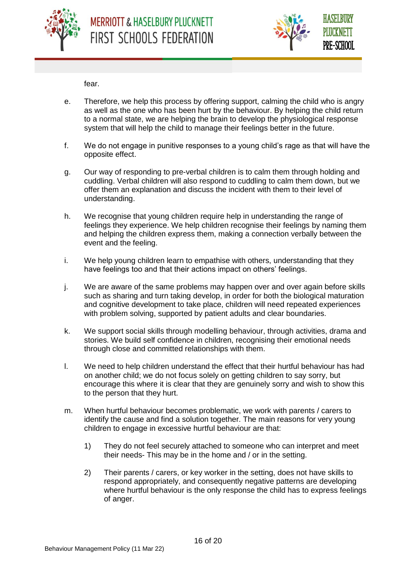



fear.

- e. Therefore, we help this process by offering support, calming the child who is angry as well as the one who has been hurt by the behaviour. By helping the child return to a normal state, we are helping the brain to develop the physiological response system that will help the child to manage their feelings better in the future.
- f. We do not engage in punitive responses to a young child's rage as that will have the opposite effect.
- g. Our way of responding to pre-verbal children is to calm them through holding and cuddling. Verbal children will also respond to cuddling to calm them down, but we offer them an explanation and discuss the incident with them to their level of understanding.
- h. We recognise that young children require help in understanding the range of feelings they experience. We help children recognise their feelings by naming them and helping the children express them, making a connection verbally between the event and the feeling.
- i. We help young children learn to empathise with others, understanding that they have feelings too and that their actions impact on others' feelings.
- j. We are aware of the same problems may happen over and over again before skills such as sharing and turn taking develop, in order for both the biological maturation and cognitive development to take place, children will need repeated experiences with problem solving, supported by patient adults and clear boundaries.
- k. We support social skills through modelling behaviour, through activities, drama and stories. We build self confidence in children, recognising their emotional needs through close and committed relationships with them.
- l. We need to help children understand the effect that their hurtful behaviour has had on another child; we do not focus solely on getting children to say sorry, but encourage this where it is clear that they are genuinely sorry and wish to show this to the person that they hurt.
- m. When hurtful behaviour becomes problematic, we work with parents / carers to identify the cause and find a solution together. The main reasons for very young children to engage in excessive hurtful behaviour are that:
	- 1) They do not feel securely attached to someone who can interpret and meet their needs- This may be in the home and / or in the setting.
	- 2) Their parents / carers, or key worker in the setting, does not have skills to respond appropriately, and consequently negative patterns are developing where hurtful behaviour is the only response the child has to express feelings of anger.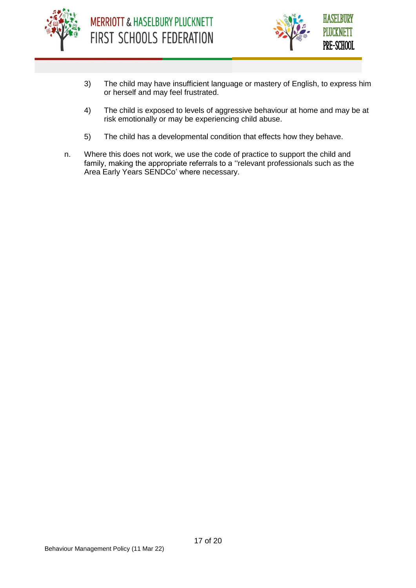



- 3) The child may have insufficient language or mastery of English, to express him or herself and may feel frustrated.
- 4) The child is exposed to levels of aggressive behaviour at home and may be at risk emotionally or may be experiencing child abuse.
- 5) The child has a developmental condition that effects how they behave.
- n. Where this does not work, we use the code of practice to support the child and family, making the appropriate referrals to a ''relevant professionals such as the Area Early Years SENDCo' where necessary.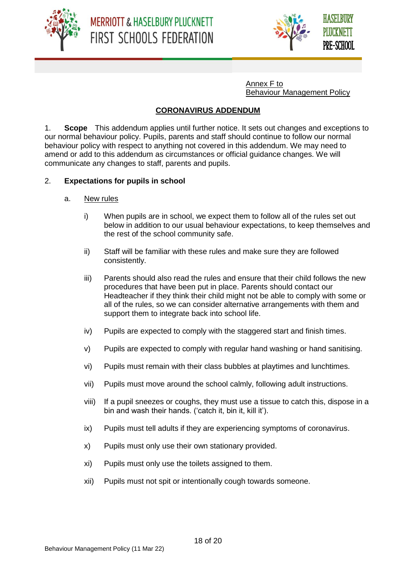



Annex F to Behaviour Management Policy

## **CORONAVIRUS ADDENDUM**

1. **Scope** This addendum applies until further notice. It sets out changes and exceptions to our normal behaviour policy. Pupils, parents and staff should continue to follow our normal behaviour policy with respect to anything not covered in this addendum. We may need to amend or add to this addendum as circumstances or official guidance changes. We will communicate any changes to staff, parents and pupils.

## 2. **Expectations for pupils in school**

- a. New rules
	- i) When pupils are in school, we expect them to follow all of the rules set out below in addition to our usual behaviour expectations, to keep themselves and the rest of the school community safe.
	- ii) Staff will be familiar with these rules and make sure they are followed consistently.
	- iii) Parents should also read the rules and ensure that their child follows the new procedures that have been put in place. Parents should contact our Headteacher if they think their child might not be able to comply with some or all of the rules, so we can consider alternative arrangements with them and support them to integrate back into school life.
	- iv) Pupils are expected to comply with the staggered start and finish times.
	- v) Pupils are expected to comply with regular hand washing or hand sanitising.
	- vi) Pupils must remain with their class bubbles at playtimes and lunchtimes.
	- vii) Pupils must move around the school calmly, following adult instructions.
	- viii) If a pupil sneezes or coughs, they must use a tissue to catch this, dispose in a bin and wash their hands. ('catch it, bin it, kill it').
	- ix) Pupils must tell adults if they are experiencing symptoms of coronavirus.
	- x) Pupils must only use their own stationary provided.
	- xi) Pupils must only use the toilets assigned to them.
	- xii) Pupils must not spit or intentionally cough towards someone.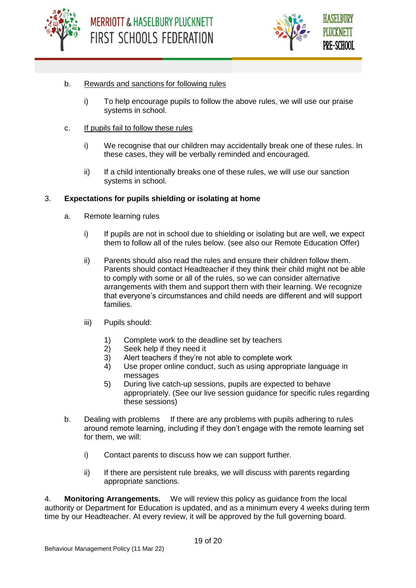



#### b. Rewards and sanctions for following rules

- i) To help encourage pupils to follow the above rules, we will use our praise systems in school.
- c. If pupils fail to follow these rules
	- i) We recognise that our children may accidentally break one of these rules. In these cases, they will be verbally reminded and encouraged.
	- ii) If a child intentionally breaks one of these rules, we will use our sanction systems in school.

#### 3. **Expectations for pupils shielding or isolating at home**

- a. Remote learning rules
	- i) If pupils are not in school due to shielding or isolating but are well, we expect them to follow all of the rules below. (see also our Remote Education Offer)
	- ii) Parents should also read the rules and ensure their children follow them. Parents should contact Headteacher if they think their child might not be able to comply with some or all of the rules, so we can consider alternative arrangements with them and support them with their learning. We recognize that everyone's circumstances and child needs are different and will support families.
	- iii) Pupils should:
		- 1) Complete work to the deadline set by teachers<br>2) Seek help if they need it
		- Seek help if they need it
		- 3) Alert teachers if they're not able to complete work
		- 4) Use proper online conduct, such as using appropriate language in messages
		- 5) During live catch-up sessions, pupils are expected to behave appropriately. (See our live session guidance for specific rules regarding these sessions)
- b. Dealing with problems If there are any problems with pupils adhering to rules around remote learning, including if they don't engage with the remote learning set for them, we will:
	- i) Contact parents to discuss how we can support further.
	- ii) If there are persistent rule breaks, we will discuss with parents regarding appropriate sanctions.

4. **Monitoring Arrangements.** We will review this policy as guidance from the local authority or Department for Education is updated, and as a minimum every 4 weeks during term time by our Headteacher. At every review, it will be approved by the full governing board.